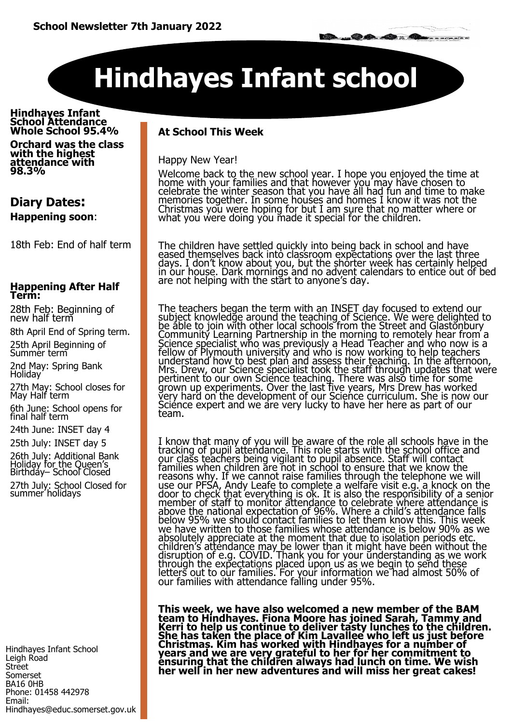# **Hindhayes Infant school**

**Hindhayes Infant School Attendance Whole School 95.4%**

**Orchard was the class with the highest attendance with 98.3%** 

### **Diary Dates: Happening soon**:

18th Feb: End of half term

#### **Happening After Half Term:**

28th Feb: Beginning of new half term

8th April End of Spring term.

25th April Beginning of Summer term

2nd May: Spring Bank Holiday

27th May: School closes for May Half term

6th June: School opens for final half term

24th June: INSET day 4

25th July: INSET day 5

26th July: Additional Bank Holiday for the Queen's Birthday– School Closed 27th July: School Closed for summer holidays

Hindhayes Infant School Leigh Road Street Somerset BA16 0HB Phone: 01458 442978 Email: Hindhayes@educ.somerset.gov.uk

### **At School This Week**

Happy New Year!

Welcome back to the new school year. I hope you enjoyed the time at home with your families and that however you may have chosen to celebrate the winter season that you have all had fun and time to make memories together. In some houses and homes I know it was not the Christmas you were hoping for but I am sure that no matter where or what you were doing you made it special for the children.

The children have settled quickly into being back in school and have eased themselves back into classroom expectations over the last three days. I don't know about you, but the shorter week has certainly helped in our house. Dark mornings and no advent calendars to entice out of bed are not helping with the start to anyone's day.

The teachers began the term with an INSET day focused to extend our subject knowledge around the teaching of Science. We were delighted to be able to join with other local schools from the Street and Glastonbury Community Learning Partnership in the morning to remotely hear from a Science specialist who was previously a Head Teacher and who now is a fellow of Plymouth university and who is now working to help teachers understand how to best plan and assess their teaching. In the afternoon, Mrs. Drew, our Science specialist took the staff through updates that were pertinent to our own Science teaching. There was also time for some grown up experiments. Over the last five years, Mrs Drew has worked very hard on the development of our Science curriculum. She is now our Sciénce expert and we are very lucky to have her here as part of our team.

I know that many of you will be aware of the role all schools have in the tracking of pupil attendance. This role starts with the school office and our class teachers being vigilant to pupil absence. Staff will contact families when children are not in school to ensure that we know the reasons why. If we cannot raise families through the telephone we will use our PFSA, Andy Leafe to complete a welfare visit e.g. a knock on the door to check that everything is ok. It is also the responsibility of a senior member of staff to monitor attendance to celebrate where attendance is above the national expectation of 96%. Where a child's attendance falls below 95% we should contact families to let them know this. This week we have written to those families whose attendance is below 90% as we absolutely appreciate at the moment that due to isolation periods etc. children's attendance may be lower than it might have been without the disruption of e.g. COVID. Thank you for your understanding as we work through the expectations placed upon us as we begin to send these letters out to our families. For your information we had almost 50% of our families with attendance falling under 95%.

**This week, we have also welcomed a new member of the BAM team to Hindhayes. Fiona Moore has joined Sarah, Tammy and Kerri to help us continue to deliver tasty lunches to the children. She has taken the place of Kim Lavallee who left us just before Christmas. Kim has worked with Hindhayes for a number of years and we are very grateful to her for her commitment to ensuring that the children always had lunch on time. We wish her well in her new adventures and will miss her great cakes!**